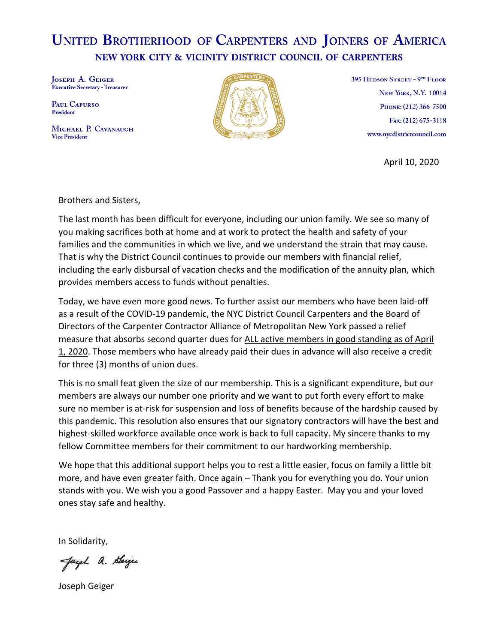## **UNITED BROTHERHOOD OF CARPENTERS AND JOINERS OF AMERICA** NEW YORK CITY & VICINITY DISTRICT COUNCIL OF CARPENTERS

JOSEPH A. GEIGER **Executive Secretary - Treasurer** 

PAUL CAPURSO President

MICHAEL P. CAVANAUGH **Vice President** 



395 HUDSON STREET - 9TH FLOOR **NEW YORK, N.Y. 10014** PHONE: (212) 366-7500 Fax: (212) 675-3118 www.nycdistrictcouncil.com

April 10, 2020

Brothers and Sisters,

The last month has been difficult for everyone, including our union family. We see so many of you making sacrifices both at home and at work to protect the health and safety of your families and the communities in which we live, and we understand the strain that may cause. That is why the District Council continues to provide our members with financial relief, including the early disbursal of vacation checks and the modification of the annuity plan, which provides members access to funds without penalties.

Today, we have even more good news. To further assist our members who have been laid-off as a result of the COVID-19 pandemic, the NYC District Council Carpenters and the Board of Directors of the Carpenter Contractor Alliance of Metropolitan New York passed a relief measure that absorbs second quarter dues for ALL active members in good standing as of April 1, 2020. Those members who have already paid their dues in advance will also receive a credit for three (3) months of union dues.

This is no small feat given the size of our membership. This is a significant expenditure, but our members are always our number one priority and we want to put forth every effort to make sure no member is at-risk for suspension and loss of benefits because of the hardship caused by this pandemic. This resolution also ensures that our signatory contractors will have the best and highest-skilled workforce available once work is back to full capacity. My sincere thanks to my fellow Committee members for their commitment to our hardworking membership.

We hope that this additional support helps you to rest a little easier, focus on family a little bit more, and have even greater faith. Once again – Thank you for everything you do. Your union stands with you. We wish you a good Passover and a happy Easter. May you and your loved ones stay safe and healthy.

In Solidarity,

Jacob a. Beiger

Joseph Geiger